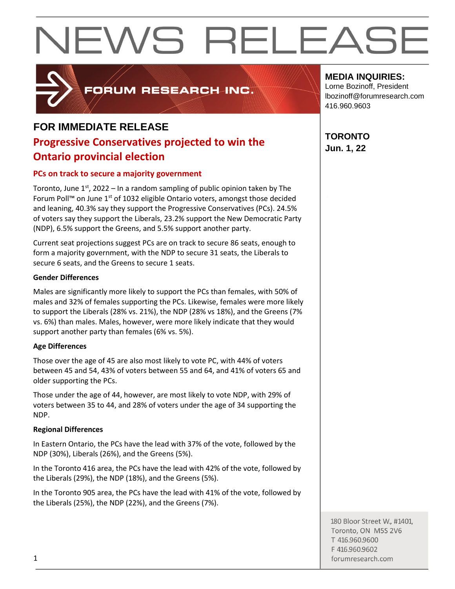

FORUM RESEARCH INC.

### **FOR IMMEDIATE RELEASE**

### **Progressive Conservatives projected to win the Ontario provincial election**

#### **PCs on track to secure a majority government**

Toronto, June  $1<sup>st</sup>$ , 2022 – In a random sampling of public opinion taken by The Forum Poll™ on June  $1<sup>st</sup>$  of 1032 eligible Ontario voters, amongst those decided and leaning, 40.3% say they support the Progressive Conservatives (PCs). 24.5% of voters say they support the Liberals, 23.2% support the New Democratic Party (NDP), 6.5% support the Greens, and 5.5% support another party.

Current seat projections suggest PCs are on track to secure 86 seats, enough to form a majority government, with the NDP to secure 31 seats, the Liberals to secure 6 seats, and the Greens to secure 1 seats.

#### **Gender Differences**

Males are significantly more likely to support the PCs than females, with 50% of males and 32% of females supporting the PCs. Likewise, females were more likely to support the Liberals (28% vs. 21%), the NDP (28% vs 18%), and the Greens (7% vs. 6%) than males. Males, however, were more likely indicate that they would support another party than females (6% vs. 5%).

#### **Age Differences**

Those over the age of 45 are also most likely to vote PC, with 44% of voters between 45 and 54, 43% of voters between 55 and 64, and 41% of voters 65 and older supporting the PCs.

Those under the age of 44, however, are most likely to vote NDP, with 29% of voters between 35 to 44, and 28% of voters under the age of 34 supporting the NDP.

#### **Regional Differences**

In Eastern Ontario, the PCs have the lead with 37% of the vote, followed by the NDP (30%), Liberals (26%), and the Greens (5%).

In the Toronto 416 area, the PCs have the lead with 42% of the vote, followed by the Liberals (29%), the NDP (18%), and the Greens (5%).

In the Toronto 905 area, the PCs have the lead with 41% of the vote, followed by the Liberals (25%), the NDP (22%), and the Greens (7%).

#### **MEDIA INQUIRIES:**

Lorne Bozinoff, President lbozinoff@forumresearch.com 416.960.9603

#### **TORONTO Jun. 1, 22**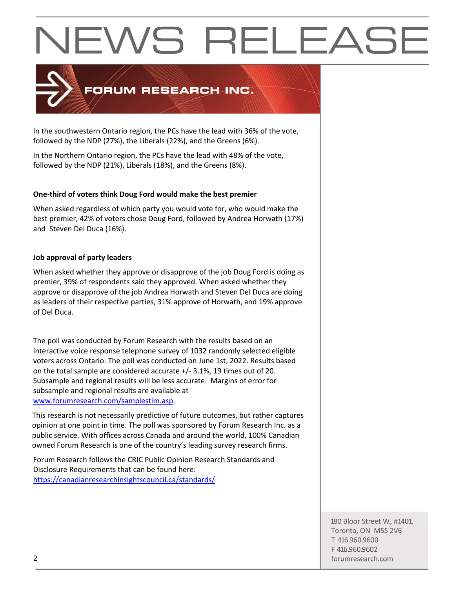

In the southwestern Ontario region, the PCs have the lead with 36% of the vote, followed by the NDP (27%), the Liberals (22%), and the Greens (6%).

In the Northern Ontario region, the PCs have the lead with 48% of the vote, followed by the NDP (21%), Liberals (18%), and the Greens (8%).

#### **One-third of voters think Doug Ford would make the best premier**

When asked regardless of which party you would vote for, who would make the best premier, 42% of voters chose Doug Ford, followed by Andrea Horwath (17%) and Steven Del Duca (16%).

#### **Job approval of party leaders**

When asked whether they approve or disapprove of the job Doug Ford is doing as premier, 39% of respondents said they approved. When asked whether they approve or disapprove of the job Andrea Horwath and Steven Del Duca are doing as leaders of their respective parties, 31% approve of Horwath, and 19% approve of Del Duca.

The poll was conducted by Forum Research with the results based on an interactive voice response telephone survey of 1032 randomly selected eligible voters across Ontario. The poll was conducted on June 1st, 2022. Results based on the total sample are considered accurate +/- 3.1%, 19 times out of 20. Subsample and regional results will be less accurate. Margins of error for subsample and regional results are available at [www.forumresearch.com/samplestim.asp.](http://www.forumresearch.com/samplestim.asp)

This research is not necessarily predictive of future outcomes, but rather captures opinion at one point in time. The poll was sponsored by Forum Research Inc. as a public service. With offices across Canada and around the world, 100% Canadian owned Forum Research is one of the country's leading survey research firms.

Forum Research follows the CRIC Public Opinion Research Standards and Disclosure Requirements that can be found here: <https://canadianresearchinsightscouncil.ca/standards/>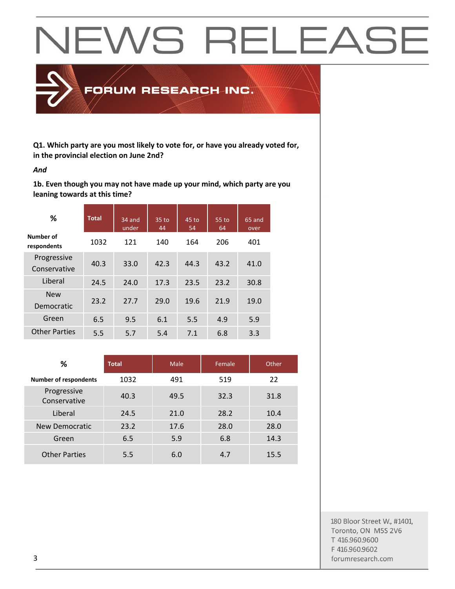

**Q1. Which party are you most likely to vote for, or have you already voted for, in the provincial election on June 2nd?**

#### *And*

**1b. Even though you may not have made up your mind, which party are you leaning towards at this time?**

| %                           | <b>Total</b> | 34 and<br>under | 35 to<br>44 | 45 to<br>54 | 55 to<br>64 | 65 and<br>over |
|-----------------------------|--------------|-----------------|-------------|-------------|-------------|----------------|
| Number of<br>respondents    | 1032         | 121             | 140         | 164         | 206         | 401            |
| Progressive<br>Conservative | 40.3         | 33.0            | 42.3        | 44.3        | 43.2        | 41.0           |
| Liberal                     | 24.5         | 24.0            | 17.3        | 23.5        | 23.2        | 30.8           |
| <b>New</b><br>Democratic    | 23.2         | 27.7            | 29.0        | 19.6        | 21.9        | 19.0           |
| Green                       | 6.5          | 9.5             | 6.1         | 5.5         | 4.9         | 5.9            |
| <b>Other Parties</b>        | 5.5          | 5.7             | 5.4         | 7.1         | 6.8         | 3.3            |

| ℅                            | <b>Total</b> | Male | Female | Other |
|------------------------------|--------------|------|--------|-------|
| <b>Number of respondents</b> | 1032         | 491  | 519    | 22    |
| Progressive<br>Conservative  | 40.3         | 49.5 | 32.3   | 31.8  |
| Liberal                      | 24.5         | 21.0 | 28.2   | 10.4  |
| New Democratic               | 23.2         | 17.6 | 28.0   | 28.0  |
| Green                        | 6.5          | 5.9  | 6.8    | 14.3  |
| <b>Other Parties</b>         | 5.5          | 6.0  | 4.7    | 15.5  |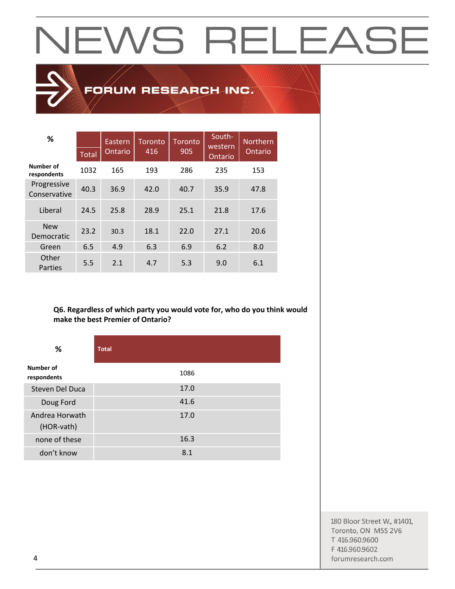### FORUM RESEARCH INC.

| %                           | <b>Total</b> | Eastern<br>Ontario | Toronto<br>416 | <b>Toronto</b><br>905 | South-<br>western<br>Ontario | <b>Northern</b><br>Ontario |
|-----------------------------|--------------|--------------------|----------------|-----------------------|------------------------------|----------------------------|
| Number of<br>respondents    | 1032         | 165                | 193            | 286                   | 235                          | 153                        |
| Progressive<br>Conservative | 40.3         | 36.9               | 42.0           | 40.7                  | 35.9                         | 47.8                       |
| Liberal                     | 24.5         | 25.8               | 28.9           | 25.1                  | 21.8                         | 17.6                       |
| <b>New</b><br>Democratic    | 23.2         | 30.3               | 18.1           | 22.0                  | 27.1                         | 20.6                       |
| Green                       | 6.5          | 4.9                | 6.3            | 6.9                   | 6.2                          | 8.0                        |
| Other<br>Parties            | 5.5          | 2.1                | 4.7            | 5.3                   | 9.0                          | 6.1                        |

#### **Q6. Regardless of which party you would vote for, who do you think would make the best Premier of Ontario?**

| %                            | <b>Total</b> |
|------------------------------|--------------|
| Number of<br>respondents     | 1086         |
| Steven Del Duca              | 17.0         |
| Doug Ford                    | 41.6         |
| Andrea Horwath<br>(HOR-vath) | 17.0         |
| none of these                | 16.3         |
| don't know                   | 8.1          |